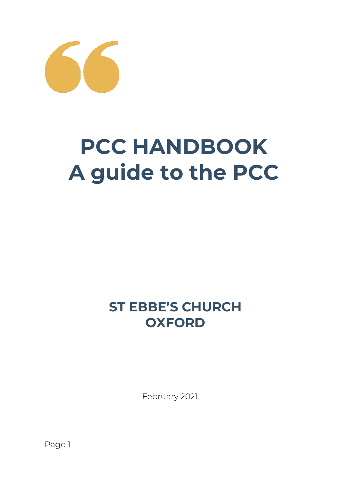

# **PCC HANDBOOK A guide to the PCC**

# **ST EBBE'S CHURCH OXFORD**

February 2021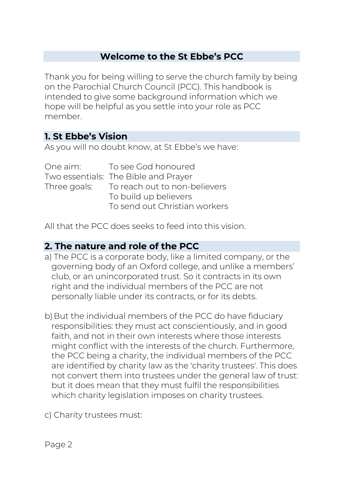# **Welcome to the St Ebbe's PCC**

Thank you for being willing to serve the church family by being on the Parochial Church Council (PCC). This handbook is intended to give some background information which we hope will be helpful as you settle into your role as PCC member.

# **1. St Ebbe's Vision**

As you will no doubt know, at St Ebbe's we have:

| One aim: | To see God honoured                        |
|----------|--------------------------------------------|
|          | Two essentials: The Bible and Prayer       |
|          | Three goals: To reach out to non-believers |
|          | To build up believers                      |
|          | To send out Christian workers              |

All that the PCC does seeks to feed into this vision.

#### **2. The nature and role of the PCC**

- a) The PCC is a corporate body, like a limited company, or the governing body of an Oxford college, and unlike a members' club, or an unincorporated trust. So it contracts in its own right and the individual members of the PCC are not personally liable under its contracts, or for its debts.
- b) But the individual members of the PCC do have fiduciary responsibilities: they must act conscientiously, and in good faith, and not in their own interests where those interests might conflict with the interests of the church. Furthermore, the PCC being a charity, the individual members of the PCC are identified by charity law as the 'charity trustees'. This does not convert them into trustees under the general law of trust: but it does mean that they must fulfil the responsibilities which charity legislation imposes on charity trustees.
- c) Charity trustees must: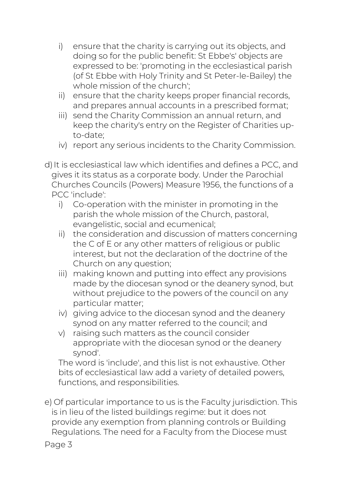- i) ensure that the charity is carrying out its objects, and doing so for the public benefit: St Ebbe's' objects are expressed to be: 'promoting in the ecclesiastical parish (of St Ebbe with Holy Trinity and St Peter-le-Bailey) the whole mission of the church';
- ii) ensure that the charity keeps proper financial records, and prepares annual accounts in a prescribed format;
- iii) send the Charity Commission an annual return, and keep the charity's entry on the Register of Charities upto-date;
- iv) report any serious incidents to the Charity Commission.
- d) It is ecclesiastical law which identifies and defines a PCC, and gives it its status as a corporate body. Under the Parochial Churches Councils (Powers) Measure 1956, the functions of a PCC 'include':
	- i) Co-operation with the minister in promoting in the parish the whole mission of the Church, pastoral, evangelistic, social and ecumenical;
	- ii) the consideration and discussion of matters concerning the C of E or any other matters of religious or public interest, but not the declaration of the doctrine of the Church on any question;
	- iii) making known and putting into effect any provisions made by the diocesan synod or the deanery synod, but without prejudice to the powers of the council on any particular matter;
	- iv) giving advice to the diocesan synod and the deanery synod on any matter referred to the council; and
	- v) raising such matters as the council consider appropriate with the diocesan synod or the deanery synod'.

The word is 'include', and this list is not exhaustive. Other bits of ecclesiastical law add a variety of detailed powers, functions, and responsibilities.

e) Of particular importance to us is the Faculty jurisdiction. This is in lieu of the listed buildings regime: but it does not provide any exemption from planning controls or Building Regulations. The need for a Faculty from the Diocese must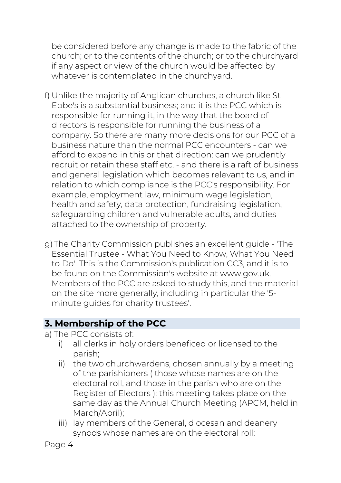be considered before any change is made to the fabric of the church; or to the contents of the church; or to the churchyard if any aspect or view of the church would be affected by whatever is contemplated in the churchyard.

- f) Unlike the majority of Anglican churches, a church like St Ebbe's is a substantial business; and it is the PCC which is responsible for running it, in the way that the board of directors is responsible for running the business of a company. So there are many more decisions for our PCC of a business nature than the normal PCC encounters - can we afford to expand in this or that direction: can we prudently recruit or retain these staff etc. - and there is a raft of business and general legislation which becomes relevant to us, and in relation to which compliance is the PCC's responsibility. For example, employment law, minimum wage legislation, health and safety, data protection, fundraising legislation, safeguarding children and vulnerable adults, and duties attached to the ownership of property.
- g)The Charity Commission publishes an excellent guide 'The Essential Trustee - What You Need to Know, What You Need to Do'. This is the Commission's publication CC3, and it is to be found on the Commission's website at www.gov.uk. Members of the PCC are asked to study this, and the material on the site more generally, including in particular the '5 minute guides for charity trustees'.

# **3. Membership of the PCC**

- a) The PCC consists of:
	- i) all clerks in holy orders beneficed or licensed to the parish;
	- ii) the two churchwardens, chosen annually by a meeting of the parishioners ( those whose names are on the electoral roll, and those in the parish who are on the Register of Electors ): this meeting takes place on the same day as the Annual Church Meeting (APCM, held in March/April);
	- iii) lay members of the General, diocesan and deanery synods whose names are on the electoral roll;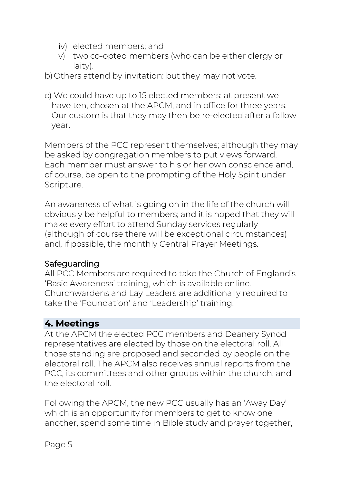- iv) elected members; and
- v) two co-opted members (who can be either clergy or laity).
- b)Others attend by invitation: but they may not vote.
- c) We could have up to 15 elected members: at present we have ten, chosen at the APCM, and in office for three years. Our custom is that they may then be re-elected after a fallow year.

Members of the PCC represent themselves; although they may be asked by congregation members to put views forward. Each member must answer to his or her own conscience and, of course, be open to the prompting of the Holy Spirit under Scripture.

An awareness of what is going on in the life of the church will obviously be helpful to members; and it is hoped that they will make every effort to attend Sunday services regularly (although of course there will be exceptional circumstances) and, if possible, the monthly Central Prayer Meetings.

# Safeguarding

All PCC Members are required to take the Church of England's 'Basic Awareness' training, which is available online. Churchwardens and Lay Leaders are additionally required to take the 'Foundation' and 'Leadership' training.

# **4. Meetings**

At the APCM the elected PCC members and Deanery Synod representatives are elected by those on the electoral roll. All those standing are proposed and seconded by people on the electoral roll. The APCM also receives annual reports from the PCC, its committees and other groups within the church, and the electoral roll.

Following the APCM, the new PCC usually has an 'Away Day' which is an opportunity for members to get to know one another, spend some time in Bible study and prayer together,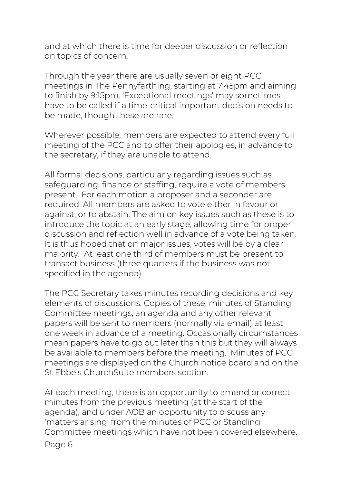and at which there is time for deeper discussion or reflection on topics of concern.

Through the year there are usually seven or eight PCC meetings in The Pennyfarthing, starting at 7:45pm and aiming to finish by 9:15pm. 'Exceptional meetings' may sometimes have to be called if a time-critical important decision needs to be made, though these are rare.

Wherever possible, members are expected to attend every full meeting of the PCC and to offer their apologies, in advance to the secretary, if they are unable to attend.

All formal decisions, particularly regarding issues such as safeguarding, finance or staffing, require a vote of members present. For each motion a proposer and a seconder are required. All members are asked to vote either in favour or against, or to abstain. The aim on key issues such as these is to introduce the topic at an early stage, allowing time for proper discussion and reflection well in advance of a vote being taken. It is thus hoped that on major issues, votes will be by a clear majority. At least one third of members must be present to transact business (three quarters if the business was not specified in the agenda).

The PCC Secretary takes minutes recording decisions and key elements of discussions. Copies of these, minutes of Standing Committee meetings, an agenda and any other relevant papers will be sent to members (normally via email) at least one week in advance of a meeting. Occasionally circumstances mean papers have to go out later than this but they will always be available to members before the meeting. Minutes of PCC meetings are displayed on the Church notice board and on the St Ebbe's ChurchSuite members section.

At each meeting, there is an opportunity to amend or correct minutes from the previous meeting (at the start of the agenda), and under AOB an opportunity to discuss any 'matters arising' from the minutes of PCC or Standing Committee meetings which have not been covered elsewhere.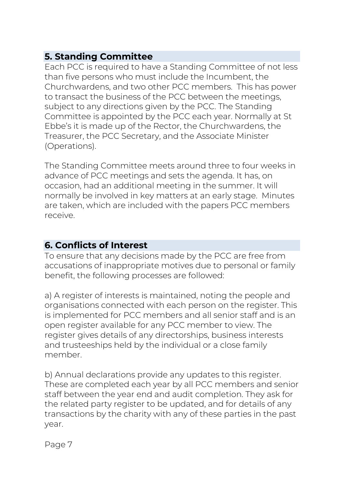# **5. Standing Committee**

Each PCC is required to have a Standing Committee of not less than five persons who must include the Incumbent, the Churchwardens, and two other PCC members. This has power to transact the business of the PCC between the meetings, subject to any directions given by the PCC. The Standing Committee is appointed by the PCC each year. Normally at St Ebbe's it is made up of the Rector, the Churchwardens, the Treasurer, the PCC Secretary, and the Associate Minister (Operations).

The Standing Committee meets around three to four weeks in advance of PCC meetings and sets the agenda. It has, on occasion, had an additional meeting in the summer. It will normally be involved in key matters at an early stage. Minutes are taken, which are included with the papers PCC members receive.

# **6. Conflicts of Interest**

To ensure that any decisions made by the PCC are free from accusations of inappropriate motives due to personal or family benefit, the following processes are followed:

a) A register of interests is maintained, noting the people and organisations connected with each person on the register. This is implemented for PCC members and all senior staff and is an open register available for any PCC member to view. The register gives details of any directorships, business interests and trusteeships held by the individual or a close family member.

b) Annual declarations provide any updates to this register. These are completed each year by all PCC members and senior staff between the year end and audit completion. They ask for the related party register to be updated, and for details of any transactions by the charity with any of these parties in the past year.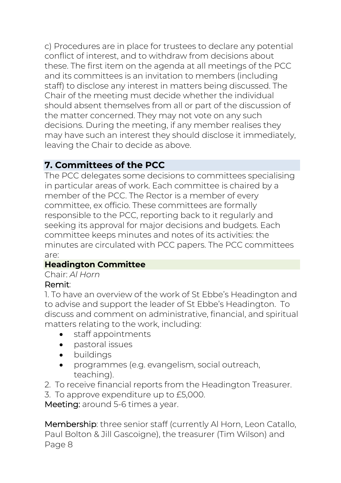c) Procedures are in place for trustees to declare any potential conflict of interest, and to withdraw from decisions about these. The first item on the agenda at all meetings of the PCC and its committees is an invitation to members (including staff) to disclose any interest in matters being discussed. The Chair of the meeting must decide whether the individual should absent themselves from all or part of the discussion of the matter concerned. They may not vote on any such decisions. During the meeting, if any member realises they may have such an interest they should disclose it immediately, leaving the Chair to decide as above.

# **7. Committees of the PCC**

The PCC delegates some decisions to committees specialising in particular areas of work. Each committee is chaired by a member of the PCC. The Rector is a member of every committee, ex officio. These committees are formally responsible to the PCC, reporting back to it regularly and seeking its approval for major decisions and budgets. Each committee keeps minutes and notes of its activities: the minutes are circulated with PCC papers. The PCC committees are:

# **Headington Committee**

# Chair: *Al Horn*

# Remit:

1. To have an overview of the work of St Ebbe's Headington and to advise and support the leader of St Ebbe's Headington. To discuss and comment on administrative, financial, and spiritual matters relating to the work, including:

- staff appointments
- pastoral issues
- buildings
- programmes (e.g. evangelism, social outreach, teaching).
- 2. To receive financial reports from the Headington Treasurer.
- 3. To approve expenditure up to £5,000.

Meeting: around 5-6 times a year.

Page 8 Membership: three senior staff (currently Al Horn, Leon Catallo, Paul Bolton & Jill Gascoigne), the treasurer (Tim Wilson) and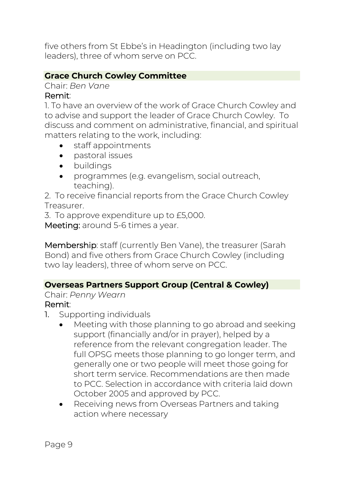five others from St Ebbe's in Headington (including two lay leaders), three of whom serve on PCC.

# **Grace Church Cowley Committee**

Chair: *Ben Vane*

#### Remit:

1. To have an overview of the work of Grace Church Cowley and to advise and support the leader of Grace Church Cowley. To discuss and comment on administrative, financial, and spiritual matters relating to the work, including:

- staff appointments
- pastoral issues
- buildings
- programmes (e.g. evangelism, social outreach, teaching).

2. To receive financial reports from the Grace Church Cowley Treasurer.

3. To approve expenditure up to £5,000.

Meeting: around 5-6 times a year.

Membership: staff (currently Ben Vane), the treasurer (Sarah Bond) and five others from Grace Church Cowley (including two lay leaders), three of whom serve on PCC.

#### **Overseas Partners Support Group (Central & Cowley)**

Chair: *Penny Wearn*

#### Remit:

- 1. Supporting individuals
	- Meeting with those planning to go abroad and seeking support (financially and/or in prayer), helped by a reference from the relevant congregation leader. The full OPSG meets those planning to go longer term, and generally one or two people will meet those going for short term service. Recommendations are then made to PCC. Selection in accordance with criteria laid down October 2005 and approved by PCC.
	- Receiving news from Overseas Partners and taking action where necessary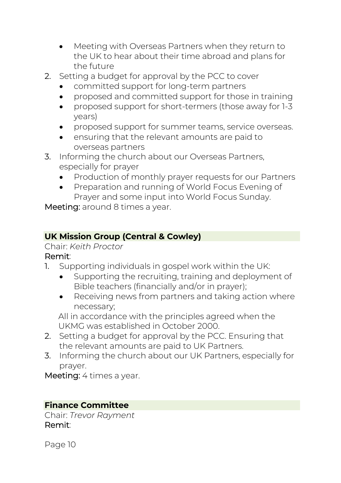- Meeting with Overseas Partners when they return to the UK to hear about their time abroad and plans for the future
- 2. Setting a budget for approval by the PCC to cover
	- committed support for long-term partners
	- proposed and committed support for those in training
	- proposed support for short-termers (those away for 1-3 years)
	- proposed support for summer teams, service overseas.
	- ensuring that the relevant amounts are paid to overseas partners
- 3. Informing the church about our Overseas Partners, especially for prayer
	- Production of monthly prayer requests for our Partners
	- Preparation and running of World Focus Evening of Prayer and some input into World Focus Sunday.

Meeting: around 8 times a year.

#### **UK Mission Group (Central & Cowley)**

#### Chair: *Keith Proctor*

#### Remit:

- 1. Supporting individuals in gospel work within the UK:
	- Supporting the recruiting, training and deployment of Bible teachers (financially and/or in prayer);
	- Receiving news from partners and taking action where necessary;

All in accordance with the principles agreed when the UKMG was established in October 2000.

- 2. Setting a budget for approval by the PCC. Ensuring that the relevant amounts are paid to UK Partners.
- 3. Informing the church about our UK Partners, especially for prayer.

Meeting: 4 times a year.

#### **Finance Committee**

Chair: *Trevor Rayment* Remit: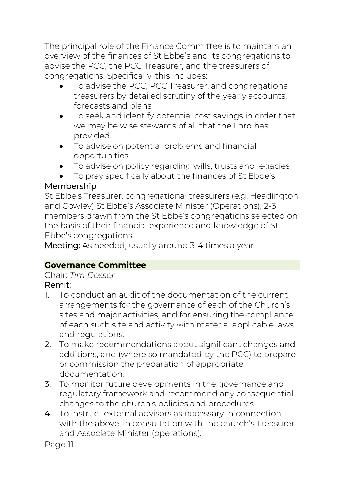The principal role of the Finance Committee is to maintain an overview of the finances of St Ebbe's and its congregations to advise the PCC, the PCC Treasurer, and the treasurers of congregations. Specifically, this includes:

- To advise the PCC, PCC Treasurer, and congregational treasurers by detailed scrutiny of the yearly accounts, forecasts and plans.
- To seek and identify potential cost savings in order that we may be wise stewards of all that the Lord has provided.
- To advise on potential problems and financial opportunities
- To advise on policy regarding wills, trusts and legacies
- To pray specifically about the finances of St Ebbe's.

# Membership

St Ebbe's Treasurer, congregational treasurers (e.g. Headington and Cowley) St Ebbe's Associate Minister (Operations), 2-3 members drawn from the St Ebbe's congregations selected on the basis of their financial experience and knowledge of St Ebbe's congregations.

Meeting: As needed, usually around 3-4 times a year.

# **Governance Committee**

Chair: *Tim Dossor*

# Remit:

- 1. To conduct an audit of the documentation of the current arrangements for the governance of each of the Church's sites and major activities, and for ensuring the compliance of each such site and activity with material applicable laws and regulations.
- 2. To make recommendations about significant changes and additions, and (where so mandated by the PCC) to prepare or commission the preparation of appropriate documentation.
- 3. To monitor future developments in the governance and regulatory framework and recommend any consequential changes to the church's policies and procedures.
- 4. To instruct external advisors as necessary in connection with the above, in consultation with the church's Treasurer and Associate Minister (operations).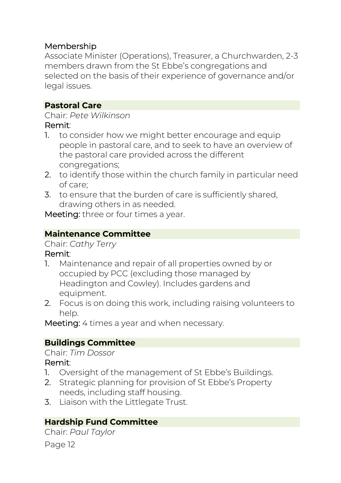# Membership

Associate Minister (Operations), Treasurer, a Churchwarden, 2-3 members drawn from the St Ebbe's congregations and selected on the basis of their experience of governance and/or legal issues.

#### **Pastoral Care**

Chair: *Pete Wilkinson*

#### Remit:

- 1. to consider how we might better encourage and equip people in pastoral care, and to seek to have an overview of the pastoral care provided across the different congregations;
- 2. to identify those within the church family in particular need of care;
- 3. to ensure that the burden of care is sufficiently shared, drawing others in as needed.

Meeting: three or four times a year.

# **Maintenance Committee**

Chair: *Cathy Terry*

#### Remit:

- 1. Maintenance and repair of all properties owned by or occupied by PCC (excluding those managed by Headington and Cowley). Includes gardens and equipment.
- 2. Focus is on doing this work, including raising volunteers to help.

Meeting: 4 times a year and when necessary.

# **Buildings Committee**

#### Chair: *Tim Dossor*

#### Remit:

- 1. Oversight of the management of St Ebbe's Buildings.
- 2. Strategic planning for provision of St Ebbe's Property needs, including staff housing.
- 3. Liaison with the Littlegate Trust.

# **Hardship Fund Committee**

Page 12 Chair: *Paul Taylor*